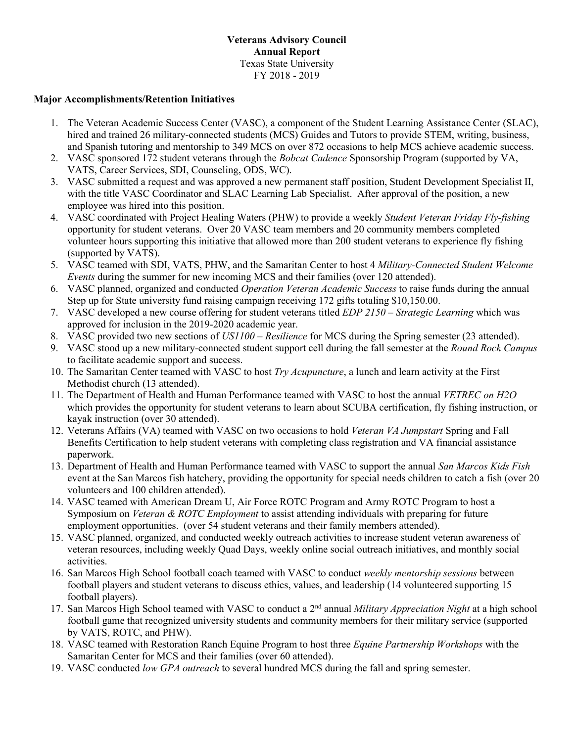### **Veterans Advisory Council Annual Report** Texas State University FY 2018 - 2019

### **Major Accomplishments/Retention Initiatives**

- 1. The Veteran Academic Success Center (VASC), a component of the Student Learning Assistance Center (SLAC), hired and trained 26 military-connected students (MCS) Guides and Tutors to provide STEM, writing, business, and Spanish tutoring and mentorship to 349 MCS on over 872 occasions to help MCS achieve academic success.
- 2. VASC sponsored 172 student veterans through the *Bobcat Cadence* Sponsorship Program (supported by VA, VATS, Career Services, SDI, Counseling, ODS, WC).
- 3. VASC submitted a request and was approved a new permanent staff position, Student Development Specialist II, with the title VASC Coordinator and SLAC Learning Lab Specialist. After approval of the position, a new employee was hired into this position.
- 4. VASC coordinated with Project Healing Waters (PHW) to provide a weekly *Student Veteran Friday Fly-fishing* opportunity for student veterans. Over 20 VASC team members and 20 community members completed volunteer hours supporting this initiative that allowed more than 200 student veterans to experience fly fishing (supported by VATS).
- 5. VASC teamed with SDI, VATS, PHW, and the Samaritan Center to host 4 *Military-Connected Student Welcome Events* during the summer for new incoming MCS and their families (over 120 attended).
- 6. VASC planned, organized and conducted *Operation Veteran Academic Success* to raise funds during the annual Step up for State university fund raising campaign receiving 172 gifts totaling \$10,150.00.
- 7. VASC developed a new course offering for student veterans titled *EDP 2150 – Strategic Learning* which was approved for inclusion in the 2019-2020 academic year.
- 8. VASC provided two new sections of *US1100 – Resilience* for MCS during the Spring semester (23 attended).
- 9. VASC stood up a new military-connected student support cell during the fall semester at the *Round Rock Campus* to facilitate academic support and success.
- 10. The Samaritan Center teamed with VASC to host *Try Acupuncture*, a lunch and learn activity at the First Methodist church (13 attended).
- 11. The Department of Health and Human Performance teamed with VASC to host the annual *VETREC on H2O*  which provides the opportunity for student veterans to learn about SCUBA certification, fly fishing instruction, or kayak instruction (over 30 attended).
- 12. Veterans Affairs (VA) teamed with VASC on two occasions to hold *Veteran VA Jumpstart* Spring and Fall Benefits Certification to help student veterans with completing class registration and VA financial assistance paperwork.
- 13. Department of Health and Human Performance teamed with VASC to support the annual *San Marcos Kids Fish* event at the San Marcos fish hatchery, providing the opportunity for special needs children to catch a fish (over 20 volunteers and 100 children attended).
- 14. VASC teamed with American Dream U, Air Force ROTC Program and Army ROTC Program to host a Symposium on *Veteran & ROTC Employment* to assist attending individuals with preparing for future employment opportunities. (over 54 student veterans and their family members attended).
- 15. VASC planned, organized, and conducted weekly outreach activities to increase student veteran awareness of veteran resources, including weekly Quad Days, weekly online social outreach initiatives, and monthly social activities.
- 16. San Marcos High School football coach teamed with VASC to conduct *weekly mentorship sessions* between football players and student veterans to discuss ethics, values, and leadership (14 volunteered supporting 15 football players).
- 17. San Marcos High School teamed with VASC to conduct a 2nd annual *Military Appreciation Night* at a high school football game that recognized university students and community members for their military service (supported by VATS, ROTC, and PHW).
- 18. VASC teamed with Restoration Ranch Equine Program to host three *Equine Partnership Workshops* with the Samaritan Center for MCS and their families (over 60 attended).
- 19. VASC conducted *low GPA outreach* to several hundred MCS during the fall and spring semester.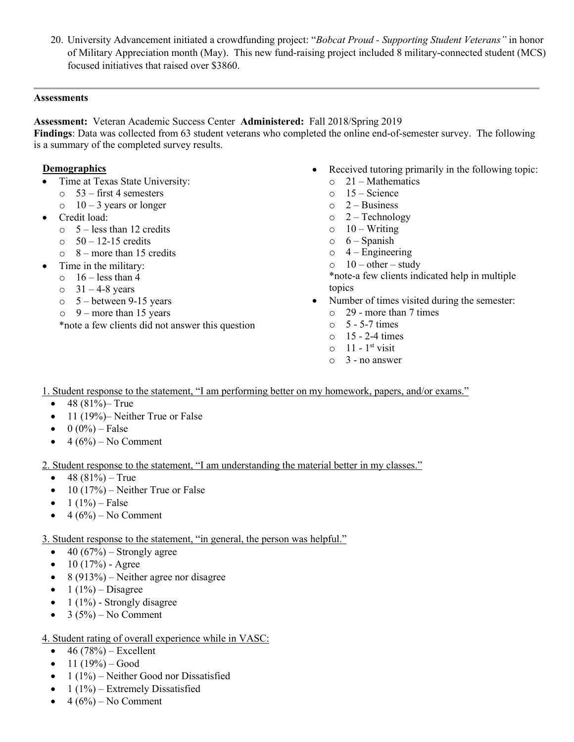20. University Advancement initiated a crowdfunding project: "*Bobcat Proud - Supporting Student Veterans"* in honor of Military Appreciation month (May). This new fund-raising project included 8 military-connected student (MCS) focused initiatives that raised over \$3860.

### **Assessments**

**Assessment:** Veteran Academic Success Center **Administered:** Fall 2018/Spring 2019

**Findings**: Data was collected from 63 student veterans who completed the online end-of-semester survey. The following is a summary of the completed survey results.

## **Demographics**

- Time at Texas State University:
	- $\circ$  53 first 4 semesters
	- $\circ$  10 3 years or longer
- Credit load:
	- $\circ$  5 less than 12 credits
	- $\circ$  50 12-15 credits
	- $\circ$  8 more than 15 credits
- Time in the military:
	- $\circ$  16 less than 4
	- $\circ$  31 4-8 years
	- $\circ$  5 between 9-15 years
	- $\circ$  9 more than 15 years

\*note a few clients did not answer this question

- Received tutoring primarily in the following topic:
	- $\circ$  21 Mathematics
	- $\circ$  15 Science
	- $\circ$  2 Business
	- $o \quad 2$  Technology
	- $\circ$  10 Writing
	- $\circ$  6 Spanish
	- $\circ$  4 Engineering
	- $\circ$  10 other study

\*note-a few clients indicated help in multiple topics

- Number of times visited during the semester:
	- o 29 more than 7 times
	- $\circ$  5 5-7 times
	- $\circ$  15 2-4 times
	- $\circ$  11 1<sup>st</sup> visit
	- $\circ$  3 no answer

1. Student response to the statement, "I am performing better on my homework, papers, and/or exams."

- $48 (81\%)$  True
- 11 (19%)– Neither True or False
- $0 (0\%) False$
- $4 (6\%) No Comment$

### 2. Student response to the statement, "I am understanding the material better in my classes."

- $48 (81\%) True$
- 10 (17%) Neither True or False
- $1(1\%)$  False
- $4 (6\%) No Comment$

### 3. Student response to the statement, "in general, the person was helpful."

- $40 (67\%)$  Strongly agree
- $10 (17\%)$  Agree
- 8 (913%) Neither agree nor disagree
- $1 (1\%) Disagree$
- 1 (1%) Strongly disagree
- $3 (5\%) No Comment$

# 4. Student rating of overall experience while in VASC:

- $46 (78%) Excel lent$
- $11 (19\%) Good$
- $1(1\%)$  Neither Good nor Dissatisfied
- $1(1\%)$  Extremely Dissatisfied
- $4 (6\%) No Comment$